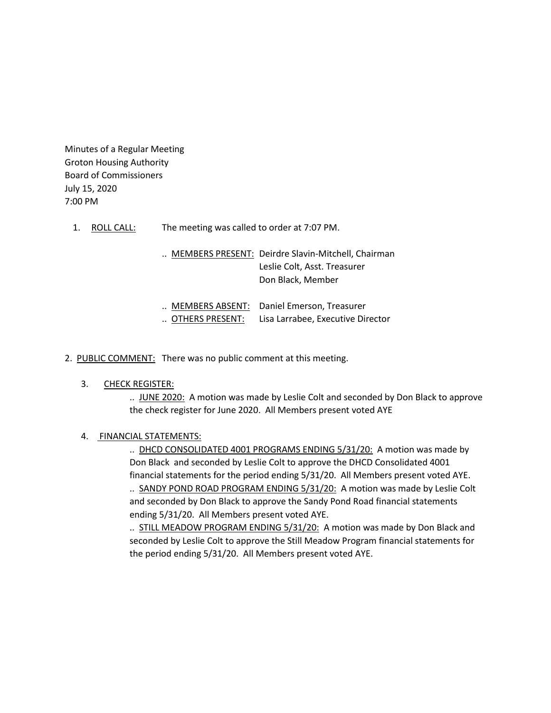Minutes of a Regular Meeting Groton Housing Authority Board of Commissioners July 15, 2020 7:00 PM

1. ROLL CALL: The meeting was called to order at 7:07 PM.

.. MEMBERS PRESENT: Deirdre Slavin-Mitchell, Chairman Leslie Colt, Asst. Treasurer Don Black, Member

| $\ldots$ MEMBERS ABSENT:  | Daniel Emerson, Treasurer         |
|---------------------------|-----------------------------------|
| $\,$ OTHERS PRESENT: $\,$ | Lisa Larrabee, Executive Director |

2. PUBLIC COMMENT: There was no public comment at this meeting.

#### 3. CHECK REGISTER:

.. JUNE 2020: A motion was made by Leslie Colt and seconded by Don Black to approve the check register for June 2020. All Members present voted AYE

#### 4. FINANCIAL STATEMENTS:

.. DHCD CONSOLIDATED 4001 PROGRAMS ENDING 5/31/20: A motion was made by Don Black and seconded by Leslie Colt to approve the DHCD Consolidated 4001 financial statements for the period ending 5/31/20. All Members present voted AYE. .. SANDY POND ROAD PROGRAM ENDING 5/31/20: A motion was made by Leslie Colt and seconded by Don Black to approve the Sandy Pond Road financial statements ending 5/31/20. All Members present voted AYE.

.. STILL MEADOW PROGRAM ENDING 5/31/20: A motion was made by Don Black and seconded by Leslie Colt to approve the Still Meadow Program financial statements for the period ending 5/31/20. All Members present voted AYE.